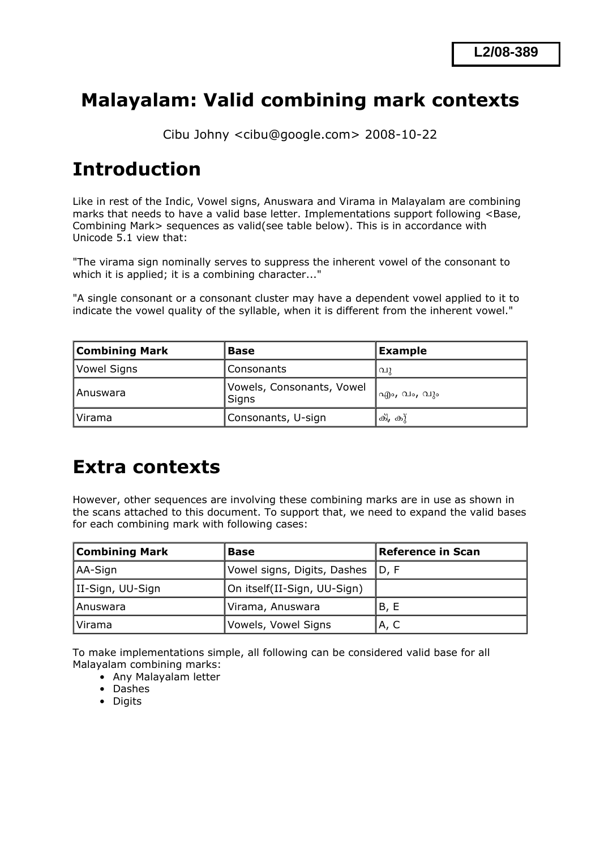## **Malayalam: Valid combining mark contexts**

Cibu Johny <cibu@google.com> 2008-10-22

# **Introduction**

Like in rest of the Indic, Vowel signs, Anuswara and Virama in Malayalam are combining marks that needs to have a valid base letter. Implementations support following <Base, Combining Mark> sequences as valid(see table below). This is in accordance with Unicode 5.1 view that:

"The virama sign nominally serves to suppress the inherent vowel of the consonant to which it is applied; it is a combining character..."

"A single consonant or a consonant cluster may have a dependent vowel applied to it to indicate the vowel quality of the syllable, when it is different from the inherent vowel."

| <b>Combining Mark</b> | <b>Base</b>                        | Example     |
|-----------------------|------------------------------------|-------------|
| Vowel Signs           | Consonants                         | വു          |
| l Anuswara            | Vowels, Consonants, Vowel<br>Signs | എം, വം, വും |
| Virama                | Consonants, U-sign                 | ക്, കു്     |

## **Extra contexts**

However, other sequences are involving these combining marks are in use as shown in the scans attached to this document. To support that, we need to expand the valid bases for each combining mark with following cases:

| <b>Combining Mark</b> | Base                               | <b>Reference in Scan</b> |
|-----------------------|------------------------------------|--------------------------|
| AA-Sign               | Vowel signs, Digits, Dashes   D, F |                          |
| II-Sign, UU-Sign      | On itself(II-Sign, UU-Sign)        |                          |
| l Anuswara            | Virama, Anuswara                   | B, E                     |
| Virama                | Vowels, Vowel Signs                | A, C                     |

To make implementations simple, all following can be considered valid base for all Malayalam combining marks:

- Any Malayalam letter
- Dashes
- Digits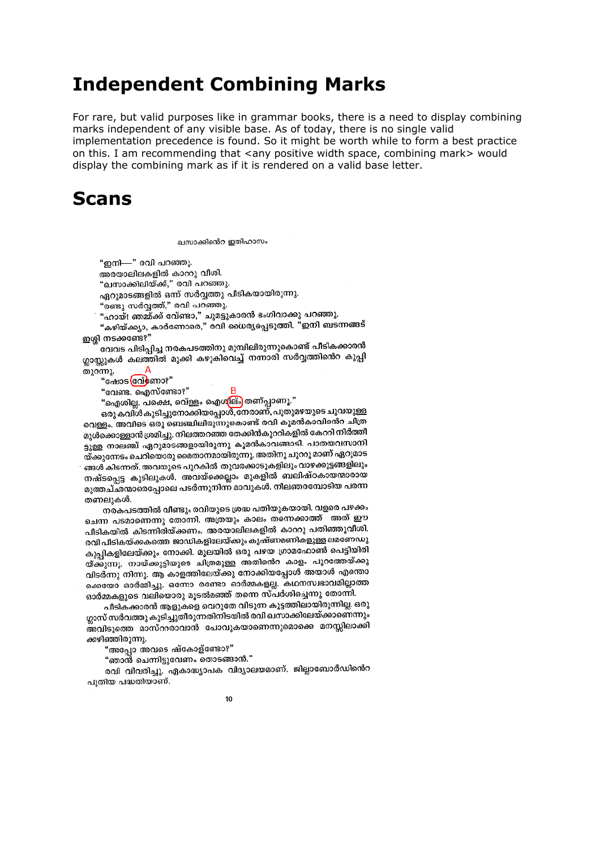### **Independent Combining Marks**

For rare, but valid purposes like in grammar books, there is a need to display combining marks independent of any visible base. As of today, there is no single valid implementation precedence is found. So it might be worth while to form a best practice on this. I am recommending that <any positive width space, combining mark> would display the combining mark as if it is rendered on a valid base letter.

### **Scans**

ഖസാക്കിൻെറ ഇതിഹാസം

"ഇനി—" രവി പറഞ്ഞു.

അരയാലിലകളിൽ കാററു വിശി.

"ഖസാക്കിലിയ്ക്ക്," രവി പറഞ്ഞു.

ഏറുമാടങ്ങളിൽ ഒന്ന് സർവ്വത്തു പീടികയായിരുന്നു.

"രണ്ടു സർവ്വത്ത്," രവി പറഞ്ഞു.

"ഹായ്! ഞമ്മ്ക്ക് വേ്ണ്ടാ," ചുമട്ടുകാരൻ ഭംഗിവാക്കു പറഞ്ഞു.

"കഴിയ്ക്കുാ, കാർണോരെ," രവി ധൈര്യപ്പെടുത്തി. "ഇനി ബടന്നങ്ങട് ഇശ്ശി നടക്കണ്ടേ?"

വേവട പിടിപ്പിച്ച നരകപടത്തിനു മുമ്പിലിരുന്നുകൊണ്ട് പീടികക്കാരൻ ഗ്ലാസ്സുകൾ കലത്തിൽ മുക്കി കഴുകിവെച്ച് നന്നാരി സർവ്വത്തിൻെറ കുപ്പി  $\Delta$ 

തുറന്നു.

"ഷോട (സ്രീണാ?" "വേണ്ട. ഐസ്ണ്ടോ?"

"ഐശില്ല. പക്ഷെ, വെ്ള്ളം ഐശ<mark>ില്ം</mark> തണ്പ്പാണു."

ഒരു കവിൾ കുടിച്ചുനോക്കിയപ്പോൾ, നേരാണ്, പുതുമഴയുടെ ചുവയുള്ള വെള്ളം. അവിടെ ഒരു ബെഞ്ചിലിരുന്നുകൊണ്ട് രവി കുമൻകാവിൻെറ ചിത്ര മുൾക്കൊള്ളാൻ ശ്രമിച്ചു. നിലത്തറഞ്ഞ തേക്കിൻകൂററികളിൽ കേററി നിർത്തീ ട്ടുള്ള നാലഞ്ച് ഏറുമാടങ്ങളായിരുന്നു കുമൻകാവങ്ങാടി. പാതയവസാനി യ്ക്കുന്നേടം ചെറിയൊരു മൈതാനമായിരുന്നു. അതിനു ചുററു മാണ് ഏറുമാട ങ്ങൾ കിടന്നത്. അവയുടെ പുറകിൽ തുവരക്കാടുകളിലും വാഴക്കൂട്ടങ്ങളിലും നഷ്ടപ്പെട്ട കുടിലുകൾ. അവയ്ക്കെല്ലാം മുകളിൽ ബലിഷ്ഠകായന്മാരായ മുത്തച്ഛന്മാരെപ്പോലെ പടർന്നുനിന്ന് മാവുകൾ. നീലഞരമ്പോടിയ പരന്ന തണലുകൾ.

നരകപടത്തിൽ വീണ്ടും രവിയുടെ ശ്രദ്ധ പതിയുകയായി. വളരെ പഴക്കം ചെന്ന പടമാണെന്നു തോന്നി. അത്രയും കാലം തന്നെക്കാത്ത് അത് ഈ പീടികയിൽ കിടന്നിരിയ്ക്കണം. അരയാലിലകളിൽ കാററു പതിഞ്ഞുവീശി. രവി പീടികയ്ക്കകത്തെ ജാഡികളിലേയ്ക്കും കൃഷ്ണമണികളുള്ള ലമണേഡു കുപ്പികളിലേയ്ക്കും നോക്കി. മൂലയിൽ ഒരു പഴയ ഗ്രാമഫോൺ പെട്ടിയിരി യ്ക്കുന്നു. നായ്ക്കുട്ടിയുടെ ചിത്രമുള്ള അതിന്റെ കാളം പുറത്തേയ്ക്കു വിടർന്നു നിന്നു. ആ കാളത്തിലേയ്ക്കു നോക്കിയപ്പോൾ അയാൾ എന്തൊ ക്കെയോ ഓർമ്മിച്ചു. ഒന്നോ രണ്ടോ ഓർമ്മകളല്ല. കഥനസ്വഭാവമില്ലാത്ത ഓർമ്മകളുടെ വലിയൊരു മൂടൽമഞ്ഞ് തന്നെ സ്പർശിച്ചെന്നു തോന്നി.

പീടികക്കാരൻ ആളുകളെ വെറുതേ വിടുന്ന കൂട്ടത്തിലായിരുന്നില്ല. ഒരു ഗ്ലാസ് സർവത്തു കുടിച്ചുതീരുന്നതിനിടയിൽ രവി ഖസാക്കിലേയ്ക്കാണെന്നും അവിടുത്തെ മാസ്ററരാവാൻ പോവുകയാണെന്നുമൊക്കെ മനസ്സിലാക്കി ക്കഴിഞ്ഞിരുന്നു.

"അപ്പോ അവടെ ഷ്കോള്ണ്ടോ?"

"ഞാൻ ചെന്നിട്ടുവേണം തൊടങ്ങാൻ."

രവി വിവരിച്ചു. ഏകാദ്ധ്യാപക വിദ്യാലയമാണ്. ജില്ലാബോർഡിൻെറ പ്പതിയ പദ്ധതിയാണ്.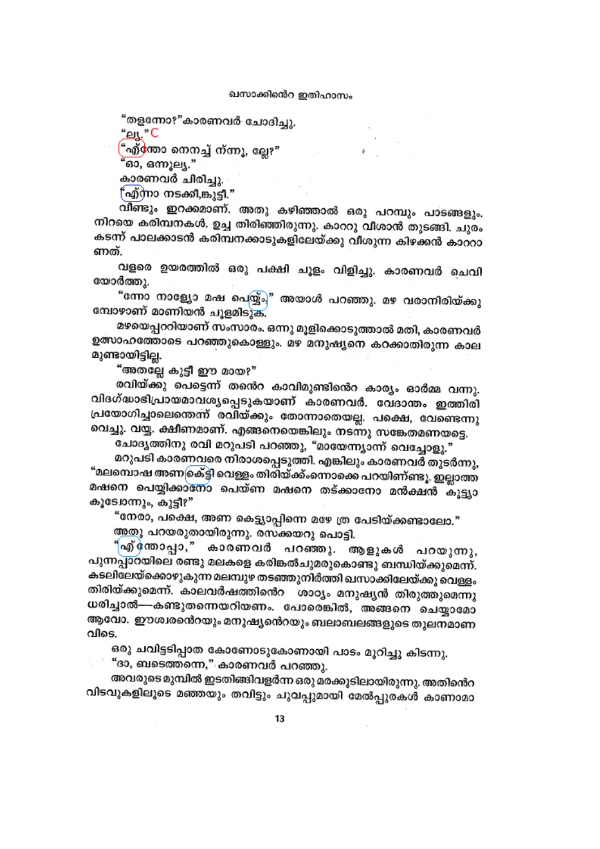"തളന്നോ?"കാരണവർ ചോദിച്ചു.

"<u>ец</u>."С

"എ്‱ോ നെനച്ച് ന്ന്നൂ, ല്ലേ?"

'ഓ, ഒന്നുല്യ."

കാരണവർ ചിരിച്ചു.

(''എ്നാ നടക്കി,ങ്കുട്ടി.''

വീണ്ടും ഇറക്കമാണ്. അതു കഴിഞ്ഞാൽ ഒരു പറമ്പും പാടങ്ങളും. നിറയെ കരിമ്പനകൾ. ഉച്ച തിരിഞ്ഞിരുന്നു. കാററു വീശാൻ തുടങ്ങി. ചുരം കടന്ന് പാലക്കാടൻ കരിമ്പനക്കാടുകളിലേയ്ക്കു വീശുന്ന കിഴക്കൻ കാററാ ണത്.

വളരെ ഉയരത്തിൽ ഒരു പക്ഷി ചൂളം വിളിച്ചു. കാരണവർ ചെവി യോർത്തു.

"ന്നോ നാള്യോ മഷ പെയ്യ്ം," അയാൾ പറഞ്ഞു. മഴ വരാനിരിയ്ക്കു മ്പോഴാണ് മാണിയൻ ചുളമിടുക.

മഴയെപ്പററിയാണ് സംസാരം. ഒന്നു മൂളിക്കൊടുത്താൽ മതി, കാരണവർ ഉത്സാഹത്തോടെ പറഞ്ഞുകൊള്ളും. മഴ മനുഷ്യനെ കറക്കാതിരുന്ന കാല മുണ്ടായിട്ടില്ല.

"അതല്ലേ കൂട്ടി ഈ മായ?"

രവിയ്ക്കു പെട്ടെന്ന് തന്റെ കാവിമുണ്ടിന്റെ കാര്യം ഓർമ്മ വന്നു. വിദഗ്ദ്ധാഭിപ്രായമാവശ്യപ്പെടുകയാണ് കാരണവർ. വേദാന്തം ഇത്തിരി പ്രയോഗിച്ചാലെന്തെന്ന് രവിയ്ക്കും തോന്നാതെയല്ല. പക്ഷെ, വേണ്ടെന്നു വെച്ചു. വയ്യ. ക്ഷീണമാണ്. എങ്ങനെയെങ്കിലും നടന്നു സങ്കേതമണയട്ടെ.

ചോദൃത്തിനു രവി മറുപടി പറഞ്ഞു, "മായേന്ന്യാന്ന് വെച്ചോളു."

മറുപടി കാരണവരെ നിരാശപ്പെടുത്തി. എങ്കിലും കാരണവർ തുടർന്നു, "മലമ്പൊഷ അണക്ര്ട്ടി വെള്ളം തിരിയ്ക്ക്ംന്നൊക്കെ പറയിണ്ണ്ടൂ. ഇല്ലാത്ത മഷനെ പെയ്യിക്കാനോ പെയ്ണ മഷനെ തട്ക്കാനോ മൻക്ഷൻ കൂട്ട്യാ കൂടോന്നും, കുട്ടീ?"

"നേരാ, പക്ഷെ, അണ കെട്ട്യാപ്പിന്നെ മഴേ ത്ര പേടിയ്ക്കണ്ടാലോ."

<u>അതു</u> പറയരുതായിരുന്നു. രസക്കയറു പൊട്ടി.

"എ് തോപ്പാ," കാരണവർ പറഞ്ഞു. ആളുകൾ പറയുന്നു, പുന്നപ്പാറയിലെ രണ്ടു മലകളെ കരിങ്കൽചുമരുകൊണ്ടു ബന്ധിയ്ക്കുമെന്ന്. കടലിലേയ്ക്കൊഴുകുന്ന മലമ്പുഴ തടഞ്ഞുനിർത്തി ഖസാക്കിലേയ്ക്കു വെള്ളം തിരിയ്ക്കുമെന്ന്. കാലവർഷത്തിനെ ശാഠൃം മനുഷൃൻ തിരുത്തുമെന്നു ധരിച്ചാൽ—-കണ്ടുതന്നെയറിയണം. പോരെങ്കിൽ, അങ്ങനെ ചെയ്യാമോ ആവോ. ഈശ്വരൻെറയും മനുഷ്യൻെറയും ബലാബലങ്ങളുടെ തുലനമാണ വിടെ.

ഒരു ചവിട്ടടിപ്പാത കോണോടുകോണായി പാടം മുറിച്ചു കിടന്നു.

് "ദാ, ബടെത്തന്നെ," കാരണവർ പറഞ്ഞു.

അവരുടെ മുമ്പിൽ ഇടതിങ്ങിവളർന്ന ഒരു മരക്കുടിലായിരുന്നു. അതിൻെറ വിടവുകളിലൂടെ മഞ്ഞയും തവിട്ടും ചുവപ്പുമായി മേൽപ്പുരകൾ കാണാമാ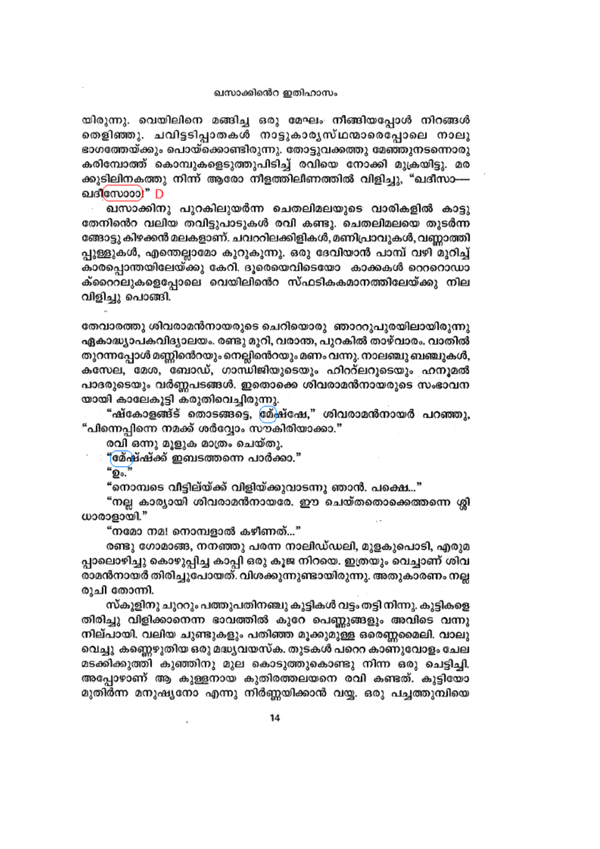#### ഖസാക്കിൻെറ ഇതിഹാസം

യിരുന്നു. വെയിലിനെ മങ്ങിച്ച ഒരു മേഘം നീങ്ങിയപ്പോൾ നിറങ്ങൾ തെളിഞ്ഞു. ചവിട്ടടിപ്പാതകൾ നാട്ടുകാരൃസ്ഥന്മാരെപ്പോലെ നാലു ഭാഗത്തേയ്ക്കും പൊയ്ക്കൊണ്ടിരുന്നു. തോട്ടുവക്കത്തു മേഞ്ഞുനടന്നൊരു കരിമ്പോത്ത് കൊമ്പുകളെടുത്തുപിടിച്ച് രവിയെ നോക്കി മുക്രയിട്ടു. മര ക്കുടിലിനകത്തു നിന്ന് ആരോ നീളത്തിലീണത്തിൽ വിളിച്ചു, "ഖദീസാ— ഖദിസോാാ)" D

ഖസാക്കിനു പുറകിലുയർന്ന ചെതലിമലയുടെ വാരികളിൽ കാട്ടു തേനിൻെറ വലിയ തവിട്ടുപാടുകൾ രവി കണ്ടു. ചെതലിമലയെ തുടർന്ന ങ്ങോട്ടു കിഴക്കൻ മലകളാണ്. ചവററിലക്കിളികൾ, മണിപ്രാവുകൾ, വണ്ണാത്തി പ്പുള്ളുകൾ, എന്തെല്ലാമോ കുറുകുന്നു. ഒരു ദേവിയാൻ പാമ്പ് വഴി മുറിച്ച് കാരപ്പൊന്തയിലേയ്ക്കു കേറി. ദൂരെയെവിടെയോ കാക്കകൾ റെററൊഡാ ക്റൈറലുകളെപ്പോലെ വെയിലിൻെറ സ്ഫടികകമാനത്തിലേയ്ക്കു നില വിളിച്ചു പൊങ്ങി.

തേവാരത്തു ശിവരാമൻനായരുടെ ചെറിയൊരു ഞാററുപുരയിലായിരുന്നു ഏകാദ്ധ്യാപകവിദ്യാലയം. രണ്ടു മുറി, വരാന്ത, പുറകിൽ താഴ്വാരം. വാതിൽ തുറന്നപ്പോൾ മണ്ണിൻെറയും നെല്ലിൻെറയും മണം വന്നു. നാലഞ്ചു ബഞ്ചുകൾ, കസേല, മേശ, ബോഡ്, ഗാന്ധിജിയുടെയും ഹിററ്ലറുടെയും ഹനുമൽ പാദരുടെയും വർണ്ണപടങ്ങൾ. ഇതൊക്കെ ശിവരാമൻനായരുടെ സംഭാവന യായി കാലേകൂട്ടി കരുതിവെച്ചിരുന്നു.

"ഷ്കോളങ്ങ്ട് തൊടങ്ങട്ടെ, ശ്ര്ഷ്ഷേ," ശിവരാമൻനായർ പറഞ്ഞു, "പിന്നെപ്പിന്നെ നമക്ക് ശർവ്വോം സൗകിരിയാക്കാ."

രവി ഒന്നു മുളുക മാത്രം ചെയ്തു.

"മേഷ്ഷ്ക് ഇബടത്തന്നെ പാർക്കാ."

 $\omega_{\text{O}_0}$ 

"നൊമ്പടെ വീട്ടില്യ്ക്ക് വിളിയ്ക്കുവാടന്നു ഞാൻ. പക്ഷെ..."

"നല്ല കാര്യായി ശിവരാമൻനായരേ. ഈ ചെയ്തതൊക്കെത്തന്നെ ശ്ലി ധാരാളായി."

"നമോ നമ! നൊമ്പളാൽ കഴീണത്…"

രണ്ടു ഗോമാങ്ങ, നനഞ്ഞു പരന്ന നാലിഡ്ഡലി, മുളകുപൊടി, എരുമ പ്പാലൊഴിച്ചു കൊഴുപ്പിച്ച കാപ്പി ഒരു കൂജ നിറയെ. ഇത്രയും വെച്ചാണ് ശിവ രാമൻനായർ തിരിച്ചുപോയത്. വിശക്കുന്നുണ്ടായിരുന്നു. അതുകാരണം നല്ല രുചി തോന്നി.

സ്കൂളിനു ചുററും പത്തുപതിനഞ്ചു കൂട്ടികൾ വട്ടം തട്ടി നിന്നു. കുട്ടികളെ തിരിച്ചു വിളിക്കാനെന്ന ഭാവത്തിൽ കുറേ പെണ്ണുങ്ങളും അവിടെ വന്നു നില്പായി. വലിയ ചുണ്ടുകളും പതിഞ്ഞ മൂക്കുമുള്ള ഒരെണ്ണമൈലി. വാലു വെച്ചു കണ്ണെഴുതിയ ഒരു മദ്ധ്യവയസ്ക. തുടകൾ പറെറ കാണുവോളം ചേല മടക്കിക്കുത്തി കുഞ്ഞിനു മുല കൊടുത്തുകൊണ്ടു നിന്ന ഒരു ചെട്ടിച്ചി. അപ്പോഴാണ് ആ കുള്ളനായ കുതിരത്തലയനെ രവി കണ്ടത്. കുട്ടിയോ മുതിർന്ന മനുഷ്യനോ എന്നു നിർണ്ണയിക്കാൻ വയ്യ. ഒരു പച്ചത്തുമ്പിയെ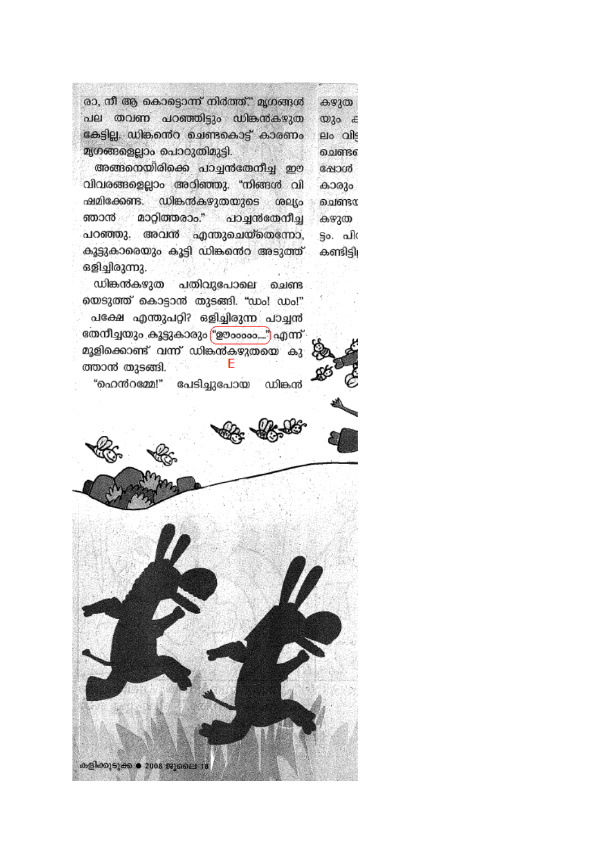രാ, നീ ആ കൊട്ടൊന്ന് നിർത്ത്." മൃഗങ്ങൾ കഴുത പല തവണ പറഞ്ഞിട്ടും ഡിങ്കൻകഴുത  $\omega$  30  $\epsilon$ കേട്ടില്ല. ഡിങ്കന്റെ ചെണ്ടകൊട്ട് കാരണം elo alls മൃഗങ്ങളെല്ലാം പൊറുതിമുട്ടി. മെണ്ട്ര

അങ്ങനെയിരിക്കെ പാച്ചൻതേനീച്ച ഈ കോൾ വിവരങ്ങളെല്ലാം അറിഞ്ഞു. "നിങ്ങൾ വി കാരും ഷമിക്കേണ്ട. ഡിങ്കൻകഴുതയുടെ GOLLO ചെണ്ടα ഞാൻ മാറ്റിത്തരാം." പാച്ചൻതേനീച്ച കഴുത പറഞ്ഞു. അവൻ എന്തുചെയ്തെന്നോ, ട്ടം. പി( കൂട്ടുകാരെയും കൂട്ടി ഡിങ്കൻെറ അടുത്ത് കണ്ടിട്ടി ഒളിച്ചിരുന്നു.

ഡിങ്കൻകഴുത പതിവുപോലെ ചെണ്ട യെടുത്ത് കൊട്ടാൻ തുടങ്ങി. "ഡം! ഡം!" പക്ഷേ എന്തുപറ്റി? ഒളിച്ചിരുന്ന പാച്ചൻ തേനീച്ചയും കൂട്ടുകാരും "ഊംംംം…") എന്ന് മുളിക്കൊണ്ട് വന്ന് ഡിങ്കൽകഴുതയെ കു F ത്താൻ തുടങ്ങി.

"ഹെൻറമ്മേ!" പേടിച്ചുപോയ ് ഡിങ്കൻ